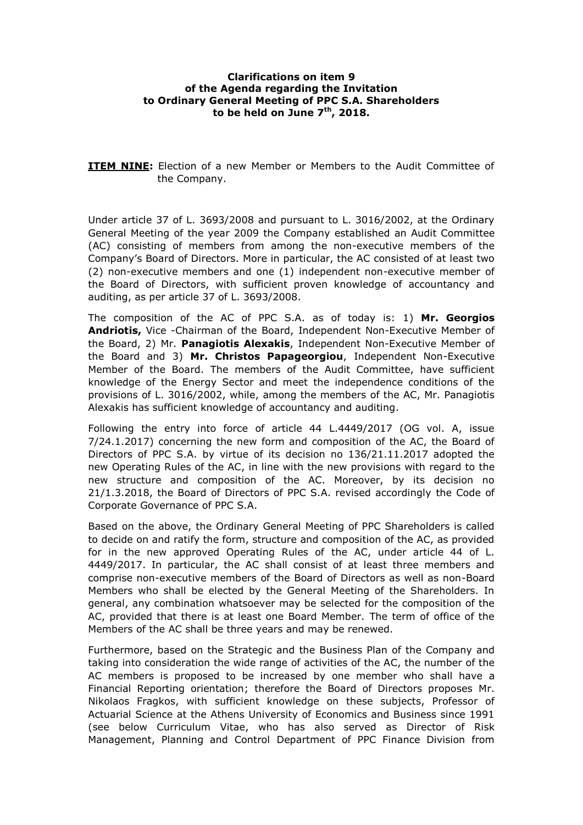### **Clarifications on item 9 of the Agenda regarding the Invitation to Ordinary General Meeting of PPC S.A. Shareholders to be held on June 7th, 2018.**

**ITEM NINE:** Election of a new Member or Members to the Audit Committee of the Company.

Under article 37 of L. 3693/2008 and pursuant to L. 3016/2002, at the Ordinary General Meeting of the year 2009 the Company established an Audit Committee (AC) consisting of members from among the non-executive members of the Company's Board of Directors. More in particular, the AC consisted of at least two (2) non-executive members and one (1) independent non-executive member of the Board of Directors, with sufficient proven knowledge of accountancy and auditing, as per article 37 of L. 3693/2008.

The composition of the AC of PPC S.A. as of today is: 1) **Mr. Georgios Andriotis,** Vice -Chairman of the Board, Independent Non-Executive Member of the Board, 2) Mr. **Panagiotis Alexakis**, Independent Non-Executive Member of the Board and 3) **Mr. Christos Papageorgiou**, Independent Non-Executive Member of the Board. The members of the Audit Committee, have sufficient knowledge of the Energy Sector and meet the independence conditions of the provisions of L. 3016/2002, while, among the members of the AC, Mr. Panagiotis Alexakis has sufficient knowledge of accountancy and auditing.

Following the entry into force of article 44 L.4449/2017 (OG vol. A, issue 7/24.1.2017) concerning the new form and composition of the AC, the Board of Directors of PPC S.A. by virtue of its decision no 136/21.11.2017 adopted the new Operating Rules of the AC, in line with the new provisions with regard to the new structure and composition of the AC. Moreover, by its decision no 21/1.3.2018, the Board of Directors of PPC S.A. revised accordingly the Code of Corporate Governance of PPC S.A.

Based on the above, the Ordinary General Meeting of PPC Shareholders is called to decide on and ratify the form, structure and composition of the AC, as provided for in the new approved Operating Rules of the AC, under article 44 of L. 4449/2017. In particular, the AC shall consist of at least three members and comprise non-executive members of the Board of Directors as well as non-Board Members who shall be elected by the General Meeting of the Shareholders. In general, any combination whatsoever may be selected for the composition of the AC, provided that there is at least one Board Member. The term of office of the Members of the AC shall be three years and may be renewed.

Furthermore, based on the Strategic and the Business Plan of the Company and taking into consideration the wide range of activities of the AC, the number of the AC members is proposed to be increased by one member who shall have a Financial Reporting orientation; therefore the Board of Directors proposes Mr. Nikolaos Fragkos, with sufficient knowledge on these subjects, Professor of Actuarial Science at the Athens University of Economics and Business since 1991 (see below Curriculum Vitae, who has also served as Director of Risk Management, Planning and Control Department of PPC Finance Division from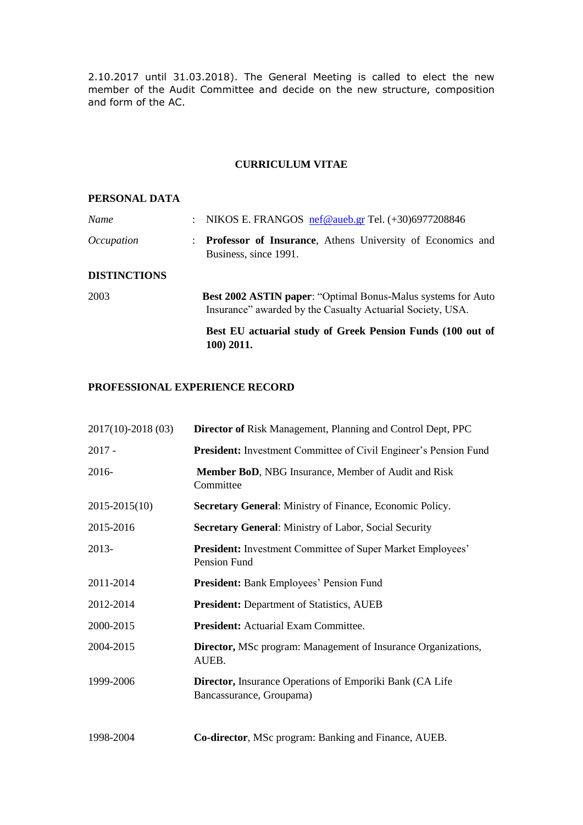2.10.2017 until 31.03.2018). The General Meeting is called to elect the new member of the Audit Committee and decide on the new structure, composition and form of the AC.

### **CURRICULUM VITAE**

### **PERSONAL DATA**

| Name                | : NIKOS E. FRANGOS nef@aueb.gr Tel. $(+30)6977208846$                                                                      |
|---------------------|----------------------------------------------------------------------------------------------------------------------------|
| <i>Occupation</i>   | <b>Professor of Insurance</b> , Athens University of Economics and<br>Business, since 1991.                                |
| <b>DISTINCTIONS</b> |                                                                                                                            |
| 2003                | Best 2002 ASTIN paper: "Optimal Bonus-Malus systems for Auto<br>Insurance" awarded by the Casualty Actuarial Society, USA. |
|                     | Best EU actuarial study of Greek Pension Funds (100 out of<br>100) 2011.                                                   |

# **PROFESSIONAL EXPERIENCE RECORD**

| $2017(10)-2018(03)$ | <b>Director of Risk Management, Planning and Control Dept, PPC</b>                            |
|---------------------|-----------------------------------------------------------------------------------------------|
| $2017 -$            | <b>President:</b> Investment Committee of Civil Engineer's Pension Fund                       |
| 2016-               | Member BoD, NBG Insurance, Member of Audit and Risk<br>Committee                              |
| $2015 - 2015(10)$   | Secretary General: Ministry of Finance, Economic Policy.                                      |
| 2015-2016           | <b>Secretary General:</b> Ministry of Labor, Social Security                                  |
| 2013-               | President: Investment Committee of Super Market Employees'<br>Pension Fund                    |
| 2011-2014           | <b>President:</b> Bank Employees' Pension Fund                                                |
| 2012-2014           | <b>President:</b> Department of Statistics, AUEB                                              |
| 2000-2015           | <b>President:</b> Actuarial Exam Committee.                                                   |
| 2004-2015           | <b>Director, MSc program: Management of Insurance Organizations,</b><br>AUEB.                 |
| 1999-2006           | <b>Director, Insurance Operations of Emporiki Bank (CA Life</b> )<br>Bancassurance, Groupama) |
| 1998-2004           | Co-director, MSc program: Banking and Finance, AUEB.                                          |